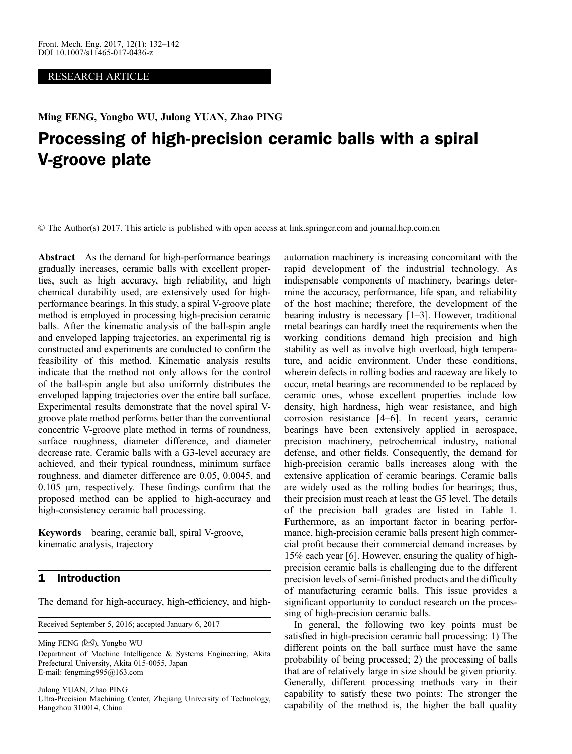## RESEARCH ARTICLE

Ming FENG, Yongbo WU, Julong YUAN, Zhao PING

# Processing of high-precision ceramic balls with a spiral V-groove plate

© The Author(s) 2017. This article is published with open access at link.springer.com and journal.hep.com.cn 2017

Abstract As the demand for high-performance bearings gradually increases, ceramic balls with excellent properties, such as high accuracy, high reliability, and high chemical durability used, are extensively used for highperformance bearings. In this study, a spiral V-groove plate method is employed in processing high-precision ceramic balls. After the kinematic analysis of the ball-spin angle and enveloped lapping trajectories, an experimental rig is constructed and experiments are conducted to confirm the feasibility of this method. Kinematic analysis results indicate that the method not only allows for the control of the ball-spin angle but also uniformly distributes the enveloped lapping trajectories over the entire ball surface. Experimental results demonstrate that the novel spiral Vgroove plate method performs better than the conventional concentric V-groove plate method in terms of roundness, surface roughness, diameter difference, and diameter decrease rate. Ceramic balls with a G3-level accuracy are achieved, and their typical roundness, minimum surface roughness, and diameter difference are 0.05, 0.0045, and  $0.105$  µm, respectively. These findings confirm that the proposed method can be applied to high-accuracy and high-consistency ceramic ball processing.

Keywords bearing, ceramic ball, spiral V-groove, kinematic analysis, trajectory

## 1 Introduction

The demand for high-accuracy, high-efficiency, and high-

Received September 5, 2016; accepted January 6, 2017

Ming FENG  $(\boxtimes)$ , Yongbo WU Department of Machine Intelligence & Systems Engineering, Akita Prefectural University, Akita 015-0055, Japan E-mail: fengming995@163.com

Julong YUAN, Zhao PING Ultra-Precision Machining Center, Zhejiang University of Technology, Hangzhou 310014, China

automation machinery is increasing concomitant with the rapid development of the industrial technology. As indispensable components of machinery, bearings determine the accuracy, performance, life span, and reliability of the host machine; therefore, the development of the bearing industry is necessary [[1](#page-10-0)–[3](#page-10-0)]. However, traditional metal bearings can hardly meet the requirements when the working conditions demand high precision and high stability as well as involve high overload, high temperature, and acidic environment. Under these conditions, wherein defects in rolling bodies and raceway are likely to occur, metal bearings are recommended to be replaced by ceramic ones, whose excellent properties include low density, high hardness, high wear resistance, and high corrosion resistance [[4](#page-10-0)–[6\]](#page-10-0). In recent years, ceramic bearings have been extensively applied in aerospace, precision machinery, petrochemical industry, national defense, and other fields. Consequently, the demand for high-precision ceramic balls increases along with the extensive application of ceramic bearings. Ceramic balls are widely used as the rolling bodies for bearings; thus, their precision must reach at least the G5 level. The details of the precision ball grades are listed in Table 1. Furthermore, as an important factor in bearing performance, high-precision ceramic balls present high commercial profit because their commercial demand increases by 15% each year [\[6\]](#page-10-0). However, ensuring the quality of highprecision ceramic balls is challenging due to the different precision levels of semi-finished products and the difficulty of manufacturing ceramic balls. This issue provides a significant opportunity to conduct research on the processing of high-precision ceramic balls.

In general, the following two key points must be satisfied in high-precision ceramic ball processing: 1) The different points on the ball surface must have the same probability of being processed; 2) the processing of balls that are of relatively large in size should be given priority. Generally, different processing methods vary in their capability to satisfy these two points: The stronger the capability of the method is, the higher the ball quality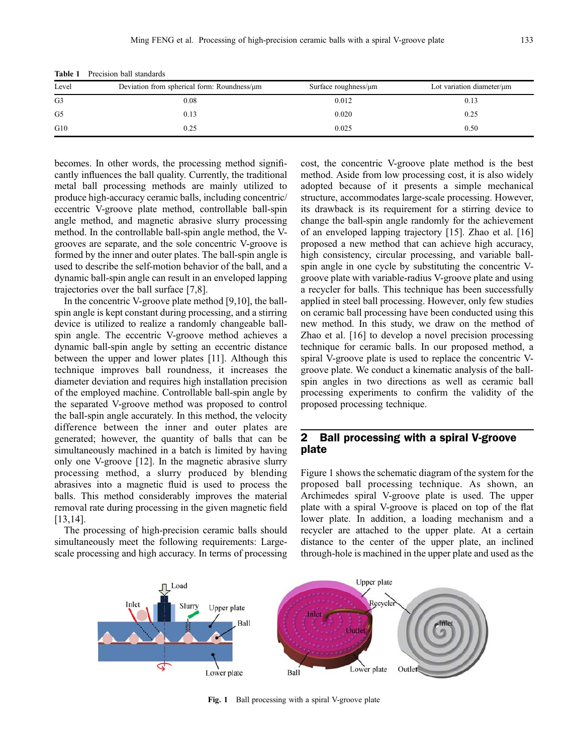| TAVIC 1<br>TTCCISIOII DAII Stailuarus |                                                   |                            |                           |  |  |  |  |  |
|---------------------------------------|---------------------------------------------------|----------------------------|---------------------------|--|--|--|--|--|
| Level                                 | Deviation from spherical form: Roundness/ $\mu$ m | Surface roughness/ $\mu$ m | Lot variation diameter/µm |  |  |  |  |  |
| G <sub>3</sub>                        | $_{0.08}$                                         | 0.012                      | 0.13                      |  |  |  |  |  |
| G <sub>5</sub>                        | 0.13                                              | 0.020                      | 0.25                      |  |  |  |  |  |
|                                       |                                                   |                            |                           |  |  |  |  |  |

G10 0.25 0.25 0.50

Table 1 Precision ball standards

becomes. In other words, the processing method significantly influences the ball quality. Currently, the traditional metal ball processing methods are mainly utilized to produce high-accuracy ceramic balls, including concentric/ eccentric V-groove plate method, controllable ball-spin angle method, and magnetic abrasive slurry processing method. In the controllable ball-spin angle method, the Vgrooves are separate, and the sole concentric V-groove is formed by the inner and outer plates. The ball-spin angle is used to describe the self-motion behavior of the ball, and a dynamic ball-spin angle can result in an enveloped lapping trajectories over the ball surface [[7,8\]](#page-10-0).

In the concentric V-groove plate method [[9,10\]](#page-10-0), the ballspin angle is kept constant during processing, and a stirring device is utilized to realize a randomly changeable ballspin angle. The eccentric V-groove method achieves a dynamic ball-spin angle by setting an eccentric distance between the upper and lower plates [[11](#page-10-0)]. Although this technique improves ball roundness, it increases the diameter deviation and requires high installation precision of the employed machine. Controllable ball-spin angle by the separated V-groove method was proposed to control the ball-spin angle accurately. In this method, the velocity difference between the inner and outer plates are generated; however, the quantity of balls that can be simultaneously machined in a batch is limited by having only one V-groove [[12](#page-10-0)]. In the magnetic abrasive slurry processing method, a slurry produced by blending abrasives into a magnetic fluid is used to process the balls. This method considerably improves the material removal rate during processing in the given magnetic field [\[13,14\]](#page-10-0).

The processing of high-precision ceramic balls should simultaneously meet the following requirements: Largescale processing and high accuracy. In terms of processing

cost, the concentric V-groove plate method is the best method. Aside from low processing cost, it is also widely adopted because of it presents a simple mechanical structure, accommodates large-scale processing. However, its drawback is its requirement for a stirring device to change the ball-spin angle randomly for the achievement of an enveloped lapping trajectory [[15](#page-10-0)]. Zhao et al. [[16](#page-10-0)] proposed a new method that can achieve high accuracy, high consistency, circular processing, and variable ballspin angle in one cycle by substituting the concentric Vgroove plate with variable-radius V-groove plate and using a recycler for balls. This technique has been successfully applied in steel ball processing. However, only few studies on ceramic ball processing have been conducted using this new method. In this study, we draw on the method of Zhao et al. [\[16\]](#page-10-0) to develop a novel precision processing technique for ceramic balls. In our proposed method, a spiral V-groove plate is used to replace the concentric Vgroove plate. We conduct a kinematic analysis of the ballspin angles in two directions as well as ceramic ball processing experiments to confirm the validity of the proposed processing technique.

## 2 Ball processing with a spiral V-groove plate

Figure 1 shows the schematic diagram of the system for the proposed ball processing technique. As shown, an Archimedes spiral V-groove plate is used. The upper plate with a spiral V-groove is placed on top of the flat lower plate. In addition, a loading mechanism and a recycler are attached to the upper plate. At a certain distance to the center of the upper plate, an inclined through-hole is machined in the upper plate and used as the



Fig. 1 Ball processing with a spiral V-groove plate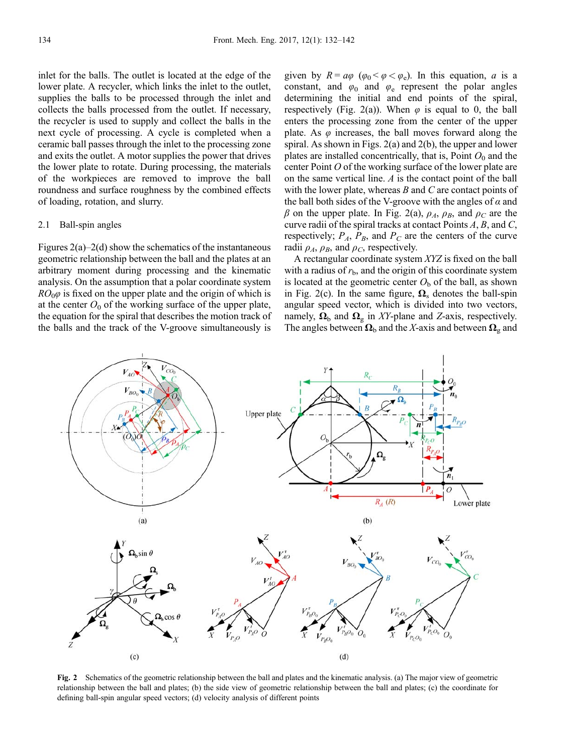inlet for the balls. The outlet is located at the edge of the lower plate. A recycler, which links the inlet to the outlet, supplies the balls to be processed through the inlet and collects the balls processed from the outlet. If necessary, the recycler is used to supply and collect the balls in the next cycle of processing. A cycle is completed when a ceramic ball passes through the inlet to the processing zone and exits the outlet. A motor supplies the power that drives the lower plate to rotate. During processing, the materials of the workpieces are removed to improve the ball roundness and surface roughness by the combined effects of loading, rotation, and slurry.

## 2.1 Ball-spin angles

Figures  $2(a)-2(d)$  show the schematics of the instantaneous geometric relationship between the ball and the plates at an arbitrary moment during processing and the kinematic analysis. On the assumption that a polar coordinate system  $RO<sub>0</sub>\varphi$  is fixed on the upper plate and the origin of which is at the center  $O_0$  of the working surface of the upper plate, the equation for the spiral that describes the motion track of the balls and the track of the V-groove simultaneously is

given by  $R = a\varphi$  ( $\varphi_0 < \varphi < \varphi_e$ ). In this equation, a is a constant, and  $\varphi_0$  and  $\varphi_e$  represent the polar angles determining the initial and end points of the spiral, respectively (Fig. 2(a)). When  $\varphi$  is equal to 0, the ball enters the processing zone from the center of the upper plate. As  $\varphi$  increases, the ball moves forward along the spiral. As shown in Figs. 2(a) and 2(b), the upper and lower plates are installed concentrically, that is, Point  $O_0$  and the center Point O of the working surface of the lower plate are on the same vertical line. A is the contact point of the ball with the lower plate, whereas  $B$  and  $C$  are contact points of the ball both sides of the V-groove with the angles of  $\alpha$  and  $\beta$  on the upper plate. In Fig. 2(a),  $\rho_A$ ,  $\rho_B$ , and  $\rho_C$  are the curve radii of the spiral tracks at contact Points A, B, and C, respectively;  $P_A$ ,  $P_B$ , and  $P_C$  are the centers of the curve radii  $\rho_A$ ,  $\rho_B$ , and  $\rho_C$ , respectively.

A rectangular coordinate system XYZ is fixed on the ball with a radius of  $r<sub>b</sub>$ , and the origin of this coordinate system is located at the geometric center  $O<sub>b</sub>$  of the ball, as shown in Fig. 2(c). In the same figure,  $\Omega_{\rm s}$  denotes the ball-spin angular speed vector, which is divided into two vectors, namely,  $\Omega_{\rm b}$  and  $\Omega_{\rm g}$  in XY-plane and Z-axis, respectively. The angles between  $\Omega_{\rm b}$  and the X-axis and between  $\Omega_{\rm g}$  and



Fig. 2 Schematics of the geometric relationship between the ball and plates and the kinematic analysis. (a) The major view of geometric relationship between the ball and plates; (b) the side view of geometric relationship between the ball and plates; (c) the coordinate for defining ball-spin angular speed vectors; (d) velocity analysis of different points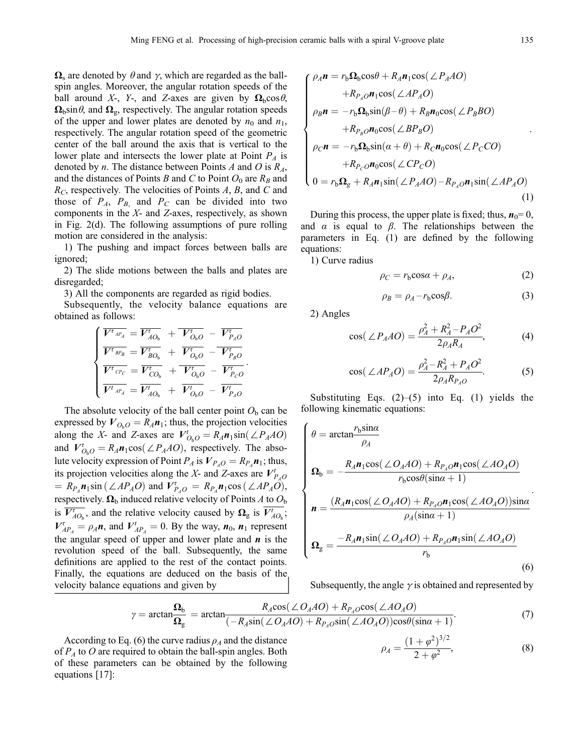$\Omega_s$  are denoted by  $\theta$  and  $\gamma$ , which are regarded as the ballspin angles. Moreover, the angular rotation speeds of the ball around X-, Y-, and Z-axes are given by  $\Omega_b \cos \theta$ ,  $\Omega_{\rm b}$ sin $\theta$ , and  $\Omega_{\rm g}$ , respectively. The angular rotation speeds of the upper and lower plates are denoted by  $n_0$  and  $n_1$ , respectively. The angular rotation speed of the geometric center of the ball around the axis that is vertical to the lower plate and intersects the lower plate at Point  $P_A$  is denoted by *n*. The distance between Points *A* and *O* is  $R_A$ , and the distances of Points B and C to Point  $O_0$  are  $R_B$  and  $R_C$ , respectively. The velocities of Points  $A$ ,  $B$ , and  $C$  and those of  $P_A$ ,  $P_B$ , and  $P_C$  can be divided into two components in the  $X$ - and  $Z$ -axes, respectively, as shown in Fig. 2(d). The following assumptions of pure rolling motion are considered in the analysis:

1) The pushing and impact forces between balls are ignored;

2) The slide motions between the balls and plates are disregarded;

3) All the components are regarded as rigid bodies.

Subsequently, the velocity balance equations are obtained as follows:

$$
\begin{cases}\n\overline{V^{\tau}{}_{^{AP_{A}}}} = \overline{V^{\tau}{}_{^{AO_{b}}}} + \overline{V^{\tau}{}_{^{O_{b}}O}} - \overline{V^{\tau}{}_{^{PA}O}} \\
\overline{V^{\tau}{}_{^{BP_{B}}}} = \overline{V^{\tau}{}_{^{BO_{b}}}} + \overline{V^{\tau}{}_{^{O_{b}O}}} - \overline{V^{\tau}{}_{^{PA}O}} \\
\overline{V^{\tau}{}_{^{CP}C}} = \overline{V^{\tau}{}_{^{CO_{b}}}} + \overline{V^{\tau}{}_{^{O_{b}O}}} - \overline{V^{\tau}{}_{^{PO}O}} \\
\overline{V^{\tau}{}_{^{AP_{A}}}} = \overline{V^{\prime}{}_{^{AO}}}} + \overline{V^{\prime}{}_{^{O_{b}O}}} - \overline{V^{\tau}{}_{^{PA}O}}\n\end{cases}
$$

The absolute velocity of the ball center point  $O<sub>b</sub>$  can be expressed by  $V_{O_bO} = R_A n_1$ ; thus, the projection velocities along the X- and Z-axes are  $V_{O_bO}^t = R_A n_1 \sin(\angle P_A A O)$ <br>and  $V_t^t = R_t n_2 \cos(\angle P_A A O)$  respectively. The absoand  $V_{Q_0O}^{\tau} = R_A n_1 \cos(\angle P_A A O)$ , respectively. The abso-<br>lute velocity expression of Point *P* is  $V_{Q_0} = P_{Q_0}$  is thus lute velocity expression of Point  $P_A$  is  $V_{P_AO} = R_{P_A} n_1$ ; thus, its projection velocities along the X- and Z-axes are  $V_{P_{A}O}^{t}$ =  $R_{P_A}$ **n**<sub>1</sub>sin ( $\angle AP_AO$ ) and  $V_{P_AO}^{\tau} = R_{P_A}$ **n**<sub>1</sub>cos ( $\angle AP_AO$ ),<br>respectively. **O**, induced relative velocity of Points 4 to  $\Omega$ . respectively.  $\Omega_{\rm b}$  induced relative velocity of Points A to  $O_{\rm b}$ is  $\overline{V_{AO_b}^{\tau}}$ , and the relative velocity caused by  $\Omega_{\rm g}$  is  $\overline{V_{AO_b}^{\tau}}$ ;  $V_{AP_A}^{\dagger} = \rho_A n$ , and  $V_{AP_A}^{\dagger} = 0$ . By the way,  $n_0$ ,  $n_1$  represent<br>the appeler grood of upper and lower plote and n is the the angular speed of upper and lower plate and  $\boldsymbol{n}$  is the revolution speed of the ball. Subsequently, the same definitions are applied to the rest of the contact points. Finally, the equations are deduced on the basis of the velocity balance equations and given by

$$
\begin{cases}\n\rho_A \mathbf{n} = r_{\rm b} \Omega_{\rm b} \cos \theta + R_A \mathbf{n}_1 \cos (\angle P_A A O) \\
+ R_{P_A O} \mathbf{n}_1 \cos (\angle A P_A O) \\
\rho_B \mathbf{n} = -r_{\rm b} \Omega_{\rm b} \sin (\beta - \theta) + R_B \mathbf{n}_0 \cos (\angle P_B B O) \\
+ R_{P_B O} \mathbf{n}_0 \cos (\angle B P_B O) \\
\rho_C \mathbf{n} = -r_{\rm b} \Omega_{\rm b} \sin (\alpha + \theta) + R_C \mathbf{n}_0 \cos (\angle P_C CO) \\
+ R_{P_C O} \mathbf{n}_0 \cos (\angle CP_C O) \\
0 = r_{\rm b} \Omega_g + R_A \mathbf{n}_1 \sin (\angle P_A A O) - R_{P_A O} \mathbf{n}_1 \sin (\angle A P_A O)\n\end{cases} (1)
$$

During this process, the upper plate is fixed; thus,  $n_0=0$ , and  $\alpha$  is equal to  $\beta$ . The relationships between the parameters in Eq. (1) are defined by the following equations:

1) Curve radius

$$
\rho_C = r_b \cos \alpha + \rho_A,\tag{2}
$$

$$
\rho_B = \rho_A - r_b \cos \beta. \tag{3}
$$

2) Angles

$$
\cos(\angle P_A A O) = \frac{\rho_A^2 + R_A^2 - P_A O^2}{2 \rho_A R_A},
$$
 (4)

$$
\cos(\angle AP_A O) = \frac{\rho_A^2 - R_A^2 + P_A O^2}{2 \rho_A R_{P_A O}}.
$$
 (5)

Substituting Eqs.  $(2)$ – $(5)$  into Eq.  $(1)$  yields the following kinematic equations:

$$
\begin{cases}\n\theta = \arctan \frac{r_b \sin \alpha}{\rho_A} \\
\Omega_b = -\frac{R_A n_1 \cos(\angle O_A A O) + R_{P_A O} n_1 \cos(\angle A O_A O)}{r_b \cos \theta (\sin \alpha + 1)} \\
n = \frac{(R_A n_1 \cos(\angle O_A A O) + R_{P_A O} n_1 \cos(\angle A O_A O)) \sin \alpha}{\rho_A (\sin \alpha + 1)} \\
\Omega_g = \frac{-R_A n_1 \sin(\angle O_A A O) + R_{P_A O} n_1 \sin(\angle A O_A O)}{r_b}\n\end{cases} (6)
$$

Subsequently, the angle  $\gamma$  is obtained and represented by

$$
\gamma = \arctan \frac{\Omega_b}{\Omega_g} = \arctan \frac{R_A \cos(\angle O_A AO) + R_{P_A O} \cos(\angle AO_A O)}{(-R_A \sin(\angle O_A AO) + R_{P_A O} \sin(\angle AO_A O)) \cos \theta (\sin \alpha + 1)}.
$$
(7)

$$
\rho_A = \frac{(1+\varphi^2)^{3/2}}{2+\varphi^2},\tag{8}
$$

According to Eq. (6) the curve radius  $\rho_A$  and the distance of  $P_A$  to O are required to obtain the ball-spin angles. Both of these parameters can be obtained by the following equations [[17](#page-10-0)]: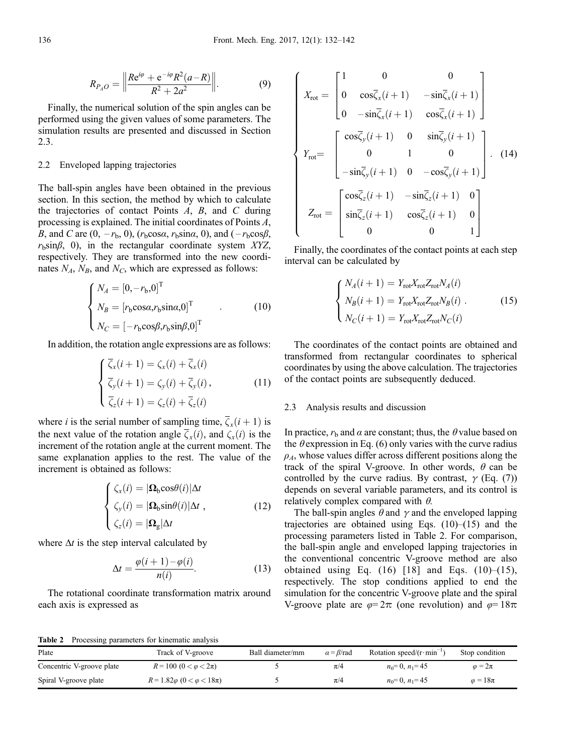$$
R_{P_A O} = \left\| \frac{Re^{i\varphi} + e^{-i\varphi} R^2 (a - R)}{R^2 + 2a^2} \right\|.
$$
 (9)

Finally, the numerical solution of the spin angles can be performed using the given values of some parameters. The simulation results are presented and discussed in Section 2.3.

#### 2.2 Enveloped lapping trajectories

The ball-spin angles have been obtained in the previous section. In this section, the method by which to calculate the trajectories of contact Points  $A$ ,  $B$ , and  $C$  during processing is explained. The initial coordinates of Points  $A$ processing is explained. The initial coordinates of Points A,<br>B and C are  $(0 - r_1, 0)$  ( $r_1 \cos \alpha$ ,  $r_2 \sin \alpha$ , 0) and  $(-r_1 \cos \beta)$ B, and C are  $(0, -r_b, 0)$ ,  $(r_b \cos \alpha, r_b \sin \alpha, 0)$ , and  $(-r_b \cos \beta,$  $r<sub>b</sub>sinβ$ , 0), in the rectangular coordinate system XYZ, respectively. They are transformed into the new coordinates  $N_A$ ,  $N_B$ , and  $N_C$ , which are expressed as follows:

$$
\begin{cases}\nN_A = [0, -r_b, 0]^T \\
N_B = [r_b \cos \alpha, r_b \sin \alpha, 0]^T \\
N_C = [-r_b \cos \beta, r_b \sin \beta, 0]^T\n\end{cases} (10)
$$

In addition, the rotation angle expressions are as follows:

$$
\begin{cases}\n\overline{\zeta}_x(i+1) = \zeta_x(i) + \overline{\zeta}_x(i) \\
\overline{\zeta}_y(i+1) = \zeta_y(i) + \overline{\zeta}_y(i), \\
\overline{\zeta}_z(i+1) = \zeta_z(i) + \overline{\zeta}_z(i)\n\end{cases}
$$
\n(11)

where *i* is the serial number of sampling time,  $\overline{\zeta_x}(i+1)$  is the next value of the rotation angle  $\overline{\zeta_x}(i)$ , and  $\zeta_x(i)$  is the increment of the rotation angle at the current moment. The same explanation applies to the rest. The value of the increment is obtained as follows:

$$
\begin{cases}\n\zeta_x(i) = |\mathbf{\Omega}_b \cos \theta(i)| \Delta t \\
\zeta_y(i) = |\mathbf{\Omega}_b \sin \theta(i)| \Delta t, \\
\zeta_z(i) = |\mathbf{\Omega}_g| \Delta t\n\end{cases}
$$
\n(12)

where  $\Delta t$  is the step interval calculated by

$$
\Delta t = \frac{\varphi(i+1) - \varphi(i)}{n(i)}.
$$
\n(13)

The rotational coordinate transformation matrix around each axis is expressed as

$$
\begin{cases}\nX_{\text{rot}} = \begin{bmatrix}\n1 & 0 & 0 \\
0 & \cos\bar{\zeta}_x(i+1) & -\sin\bar{\zeta}_x(i+1) \\
0 & -\sin\bar{\zeta}_x(i+1) & \cos\bar{\zeta}_x(i+1)\n\end{bmatrix} \\
Y_{\text{rot}} = \begin{bmatrix}\n\cos\bar{\zeta}_y(i+1) & 0 & \sin\bar{\zeta}_y(i+1) \\
0 & 1 & 0 \\
-\sin\bar{\zeta}_y(i+1) & 0 & -\cos\bar{\zeta}_y(i+1)\n\end{bmatrix}.\n\end{cases}
$$
\n
$$
Z_{\text{rot}} = \begin{bmatrix}\n\cos\bar{\zeta}_z(i+1) & -\sin\bar{\zeta}_z(i+1) & 0 \\
\sin\bar{\zeta}_z(i+1) & \cos\bar{\zeta}_z(i+1) & 0 \\
0 & 0 & 1\n\end{bmatrix}
$$

Finally, the coordinates of the contact points at each step interval can be calculated by

$$
\begin{cases}\nN_A(i+1) = Y_{\text{rot}} X_{\text{rot}} Z_{\text{rot}} N_A(i) \\
N_B(i+1) = Y_{\text{rot}} X_{\text{rot}} Z_{\text{rot}} N_B(i) . \\
N_C(i+1) = Y_{\text{rot}} X_{\text{rot}} Z_{\text{rot}} N_C(i)\n\end{cases}
$$
\n(15)

The coordinates of the contact points are obtained and transformed from rectangular coordinates to spherical coordinates by using the above calculation. The trajectories of the contact points are subsequently deduced.

#### 2.3 Analysis results and discussion

In practice,  $r<sub>b</sub>$  and  $\alpha$  are constant; thus, the  $\theta$  value based on the  $\theta$  expression in Eq. (6) only varies with the curve radius  $\rho_A$ , whose values differ across different positions along the track of the spiral V-groove. In other words,  $\theta$  can be controlled by the curve radius. By contrast,  $\gamma$  (Eq. (7)) depends on several variable parameters, and its control is relatively complex compared with  $\theta$ .

The ball-spin angles  $\theta$  and  $\gamma$  and the enveloped lapping trajectories are obtained using Eqs.  $(10)$ – $(15)$  and the processing parameters listed in Table 2. For comparison, the ball-spin angle and enveloped lapping trajectories in the conventional concentric V-groove method are also obtained using Eq.  $(16)$  [[18](#page-10-0)] and Eqs.  $(10)$ – $(15)$ , respectively. The stop conditions applied to end the simulation for the concentric V-groove plate and the spiral V-groove plate are  $\varphi = 2\pi$  (one revolution) and  $\varphi = 18\pi$ 

Table 2 Processing parameters for kinematic analysis

| Plate                     | Track of V-groove                       | Ball diameter/mm | $\alpha = \beta$ /rad | Rotation speed/ $(r \cdot min^{-1})$ | Stop condition    |
|---------------------------|-----------------------------------------|------------------|-----------------------|--------------------------------------|-------------------|
| Concentric V-groove plate | $R = 100 (0 < \varphi < 2\pi)$          |                  | $\pi$ /4              | $n_0=0$ , $n_1=45$                   | $\varphi = 2\pi$  |
| Spiral V-groove plate     | $R = 1.82\varphi (0 < \varphi < 18\pi)$ |                  | $\pi$ /4              | $n_0=0$ , $n_1=45$                   | $\varphi = 18\pi$ |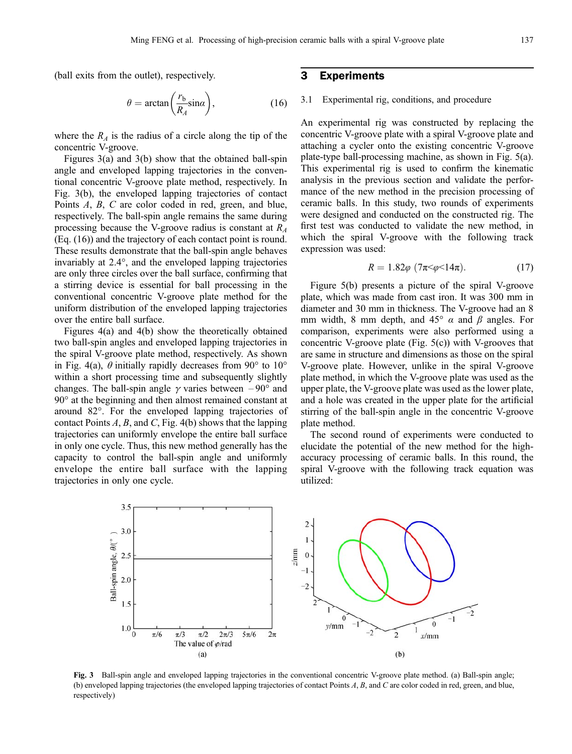(ball exits from the outlet), respectively.

$$
\theta = \arctan\left(\frac{r_b}{R_A}\sin\alpha\right),\tag{16}
$$

where the  $R_A$  is the radius of a circle along the tip of the concentric V-groove.

Figures 3(a) and 3(b) show that the obtained ball-spin angle and enveloped lapping trajectories in the conventional concentric V-groove plate method, respectively. In Fig. 3(b), the enveloped lapping trajectories of contact Points A, B, C are color coded in red, green, and blue, respectively. The ball-spin angle remains the same during processing because the V-groove radius is constant at  $R_A$ (Eq. (16)) and the trajectory of each contact point is round. These results demonstrate that the ball-spin angle behaves invariably at 2.4°, and the enveloped lapping trajectories are only three circles over the ball surface, confirming that a stirring device is essential for ball processing in the conventional concentric V-groove plate method for the uniform distribution of the enveloped lapping trajectories over the entire ball surface.

Figures 4(a) and 4(b) show the theoretically obtained two ball-spin angles and enveloped lapping trajectories in the spiral V-groove plate method, respectively. As shown in Fig. 4(a),  $\theta$  initially rapidly decreases from 90 $\degree$  to 10 $\degree$ within a short processing time and subsequently slightly changes. The ball-spin angle  $\gamma$  varies between  $-90^{\circ}$  and 90° at the beginning and then almost remained constant at around 82°. For the enveloped lapping trajectories of contact Points  $A$ ,  $B$ , and  $C$ , Fig. 4(b) shows that the lapping trajectories can uniformly envelope the entire ball surface in only one cycle. Thus, this new method generally has the capacity to control the ball-spin angle and uniformly envelope the entire ball surface with the lapping trajectories in only one cycle.

## 3 Experiments

#### 3.1 Experimental rig, conditions, and procedure

An experimental rig was constructed by replacing the concentric V-groove plate with a spiral V-groove plate and attaching a cycler onto the existing concentric V-groove plate-type ball-processing machine, as shown in Fig. 5(a). This experimental rig is used to confirm the kinematic analysis in the previous section and validate the performance of the new method in the precision processing of ceramic balls. In this study, two rounds of experiments were designed and conducted on the constructed rig. The first test was conducted to validate the new method, in which the spiral V-groove with the following track expression was used:

$$
R = 1.82\varphi \ (7\pi \leq \varphi \leq 14\pi). \tag{17}
$$

Figure 5(b) presents a picture of the spiral V-groove plate, which was made from cast iron. It was 300 mm in diameter and 30 mm in thickness. The V-groove had an 8 mm width, 8 mm depth, and 45°  $\alpha$  and  $\beta$  angles. For comparison, experiments were also performed using a concentric V-groove plate (Fig. 5(c)) with V-grooves that are same in structure and dimensions as those on the spiral V-groove plate. However, unlike in the spiral V-groove plate method, in which the V-groove plate was used as the upper plate, the V-groove plate was used as the lower plate, and a hole was created in the upper plate for the artificial stirring of the ball-spin angle in the concentric V-groove plate method.

The second round of experiments were conducted to elucidate the potential of the new method for the highaccuracy processing of ceramic balls. In this round, the spiral V-groove with the following track equation was utilized:



Fig. 3 Ball-spin angle and enveloped lapping trajectories in the conventional concentric V-groove plate method. (a) Ball-spin angle; (b) enveloped lapping trajectories (the enveloped lapping trajectories of contact Points A, B, and C are color coded in red, green, and blue, respectively)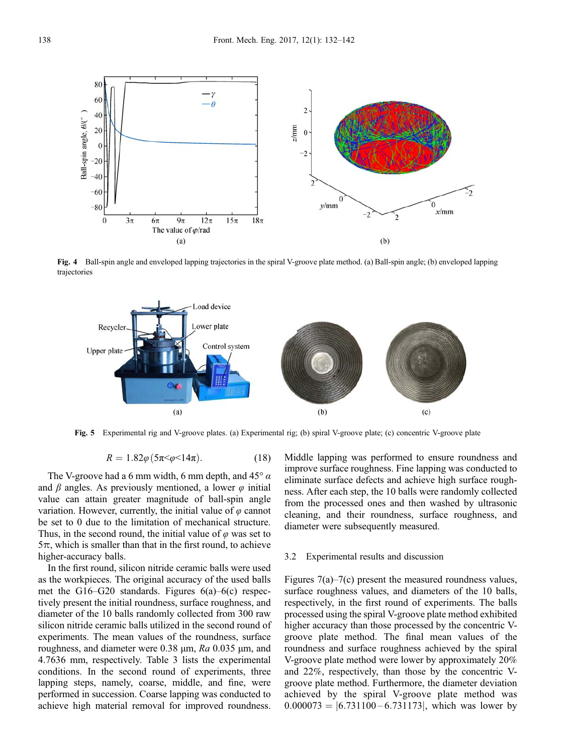

Fig. 4 Ball-spin angle and enveloped lapping trajectories in the spiral V-groove plate method. (a) Ball-spin angle; (b) enveloped lapping trajectories



Fig. 5 Experimental rig and V-groove plates. (a) Experimental rig; (b) spiral V-groove plate; (c) concentric V-groove plate

$$
R = 1.82\varphi (5\pi < \varphi < 14\pi). \tag{18}
$$

The V-groove had a 6 mm width, 6 mm depth, and  $45^\circ \alpha$ and  $\beta$  angles. As previously mentioned, a lower  $\varphi$  initial value can attain greater magnitude of ball-spin angle variation. However, currently, the initial value of  $\varphi$  cannot be set to 0 due to the limitation of mechanical structure. Thus, in the second round, the initial value of  $\varphi$  was set to  $5\pi$ , which is smaller than that in the first round, to achieve higher-accuracy balls.

In the first round, silicon nitride ceramic balls were used as the workpieces. The original accuracy of the used balls met the G16–G20 standards. Figures 6(a)–6(c) respectively present the initial roundness, surface roughness, and diameter of the 10 balls randomly collected from 300 raw silicon nitride ceramic balls utilized in the second round of experiments. The mean values of the roundness, surface roughness, and diameter were 0.38 μm,  $Ra$  0.035 μm, and 4.7636 mm, respectively. Table 3 lists the experimental conditions. In the second round of experiments, three lapping steps, namely, coarse, middle, and fine, were performed in succession. Coarse lapping was conducted to achieve high material removal for improved roundness.

Middle lapping was performed to ensure roundness and improve surface roughness. Fine lapping was conducted to eliminate surface defects and achieve high surface roughness. After each step, the 10 balls were randomly collected from the processed ones and then washed by ultrasonic cleaning, and their roundness, surface roughness, and diameter were subsequently measured.

#### 3.2 Experimental results and discussion

Figures 7(a)–7(c) present the measured roundness values, surface roughness values, and diameters of the 10 balls, respectively, in the first round of experiments. The balls processed using the spiral V-groove plate method exhibited higher accuracy than those processed by the concentric Vgroove plate method. The final mean values of the roundness and surface roughness achieved by the spiral V-groove plate method were lower by approximately 20% and 22%, respectively, than those by the concentric Vgroove plate method. Furthermore, the diameter deviation achieved by the spiral V-groove plate method was  $0.000073 = \vert 6.731100 - 6.731173 \vert$ , which was lower by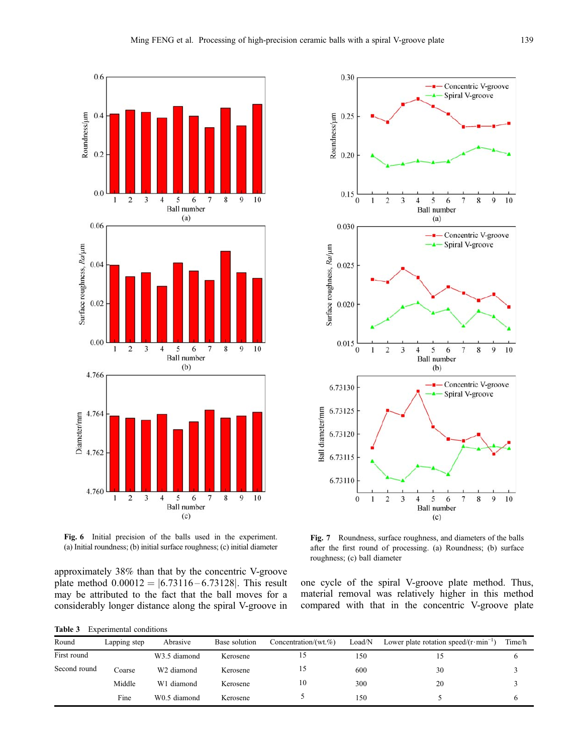





approximately 38% than that by the concentric V-groove plate method  $0.00012 = |6.73116 - 6.73128|$ . This result may be attributed to the fact that the ball moves for a considerably longer distance along the spiral V-groove in

Table 3 Experimental conditions



Fig. 7 Roundness, surface roughness, and diameters of the balls after the first round of processing. (a) Roundness; (b) surface roughness; (c) ball diameter

one cycle of the spiral V-groove plate method. Thus, material removal was relatively higher in this method compared with that in the concentric V-groove plate

| Round        | Lapping step | Abrasive               | Base solution | Concentration/(wt. $%$ ) | Load/N | Lower plate rotation speed/ $(r \cdot min$ | Time/h |
|--------------|--------------|------------------------|---------------|--------------------------|--------|--------------------------------------------|--------|
| First round  |              | W3.5 diamond           | Kerosene      |                          | 150    |                                            |        |
| Second round | Coarse       | W <sub>2</sub> diamond | Kerosene      |                          | 600    | 30                                         |        |
|              | Middle       | W1 diamond             | Kerosene      | 10                       | 300    | 20                                         |        |
|              | Fine         | W0.5 diamond           | Kerosene      |                          | 150    |                                            |        |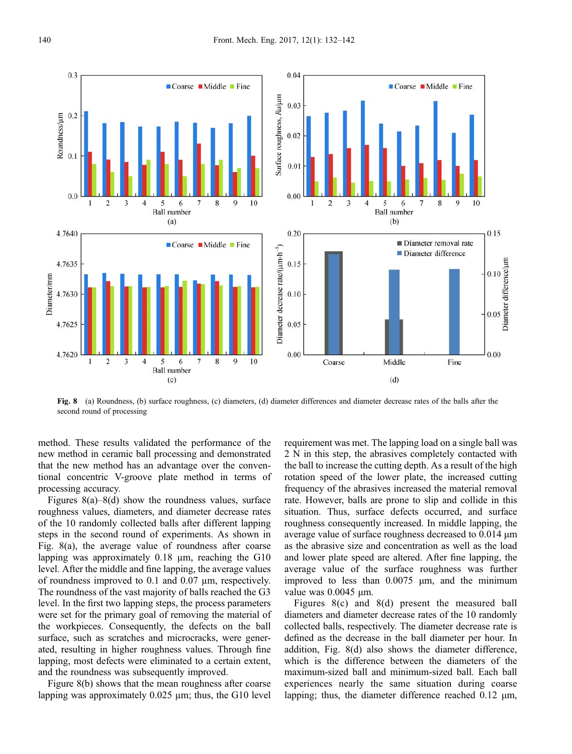

Fig. 8 (a) Roundness, (b) surface roughness, (c) diameters, (d) diameter differences and diameter decrease rates of the balls after the second round of processing

method. These results validated the performance of the new method in ceramic ball processing and demonstrated that the new method has an advantage over the conventional concentric V-groove plate method in terms of processing accuracy.

Figures  $8(a) - 8(d)$  show the roundness values, surface roughness values, diameters, and diameter decrease rates of the 10 randomly collected balls after different lapping steps in the second round of experiments. As shown in Fig. 8(a), the average value of roundness after coarse lapping was approximately 0.18 µm, reaching the G10 level. After the middle and fine lapping, the average values of roundness improved to 0.1 and 0.07 µm, respectively. The roundness of the vast majority of balls reached the G3 level. In the first two lapping steps, the process parameters were set for the primary goal of removing the material of the workpieces. Consequently, the defects on the ball surface, such as scratches and microcracks, were generated, resulting in higher roughness values. Through fine lapping, most defects were eliminated to a certain extent, and the roundness was subsequently improved.

Figure 8(b) shows that the mean roughness after coarse lapping was approximately 0.025 µm; thus, the G10 level

requirement was met. The lapping load on a single ball was 2 N in this step, the abrasives completely contacted with the ball to increase the cutting depth. As a result of the high rotation speed of the lower plate, the increased cutting frequency of the abrasives increased the material removal rate. However, balls are prone to slip and collide in this situation. Thus, surface defects occurred, and surface roughness consequently increased. In middle lapping, the average value of surface roughness decreased to 0.014 μm as the abrasive size and concentration as well as the load and lower plate speed are altered. After fine lapping, the average value of the surface roughness was further improved to less than 0.0075 μm, and the minimum value was 0.0045 μm.

10

 $0.15$ 

o.<br>
Co.<br>
Diameter difference/µm<br>
Diameter difference/µm

0.00

Figures 8(c) and 8(d) present the measured ball diameters and diameter decrease rates of the 10 randomly collected balls, respectively. The diameter decrease rate is defined as the decrease in the ball diameter per hour. In addition, Fig. 8(d) also shows the diameter difference, which is the difference between the diameters of the maximum-sized ball and minimum-sized ball. Each ball experiences nearly the same situation during coarse lapping; thus, the diameter difference reached 0.12 μm,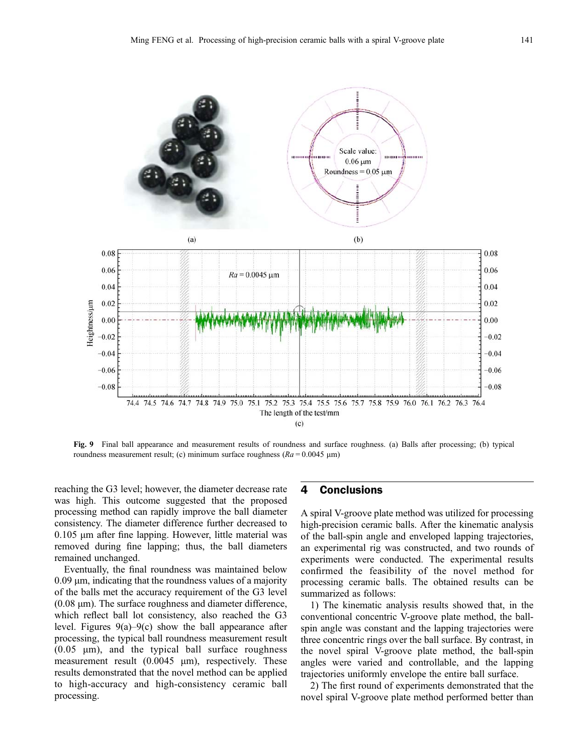

Fig. 9 Final ball appearance and measurement results of roundness and surface roughness. (a) Balls after processing; (b) typical roundness measurement result; (c) minimum surface roughness ( $Ra = 0.0045 \mu m$ )

reaching the G3 level; however, the diameter decrease rate was high. This outcome suggested that the proposed processing method can rapidly improve the ball diameter consistency. The diameter difference further decreased to 0.105 μm after fine lapping. However, little material was removed during fine lapping; thus, the ball diameters remained unchanged.

Eventually, the final roundness was maintained below  $0.09 \mu m$ , indicating that the roundness values of a majority of the balls met the accuracy requirement of the G3 level (0.08 μm). The surface roughness and diameter difference, which reflect ball lot consistency, also reached the G3 level. Figures  $9(a)-9(c)$  show the ball appearance after processing, the typical ball roundness measurement result (0.05 μm), and the typical ball surface roughness measurement result (0.0045 μm), respectively. These results demonstrated that the novel method can be applied to high-accuracy and high-consistency ceramic ball processing.

## 4 Conclusions

A spiral V-groove plate method was utilized for processing high-precision ceramic balls. After the kinematic analysis of the ball-spin angle and enveloped lapping trajectories, an experimental rig was constructed, and two rounds of experiments were conducted. The experimental results confirmed the feasibility of the novel method for processing ceramic balls. The obtained results can be summarized as follows:

1) The kinematic analysis results showed that, in the conventional concentric V-groove plate method, the ballspin angle was constant and the lapping trajectories were three concentric rings over the ball surface. By contrast, in the novel spiral V-groove plate method, the ball-spin angles were varied and controllable, and the lapping trajectories uniformly envelope the entire ball surface.

2) The first round of experiments demonstrated that the novel spiral V-groove plate method performed better than